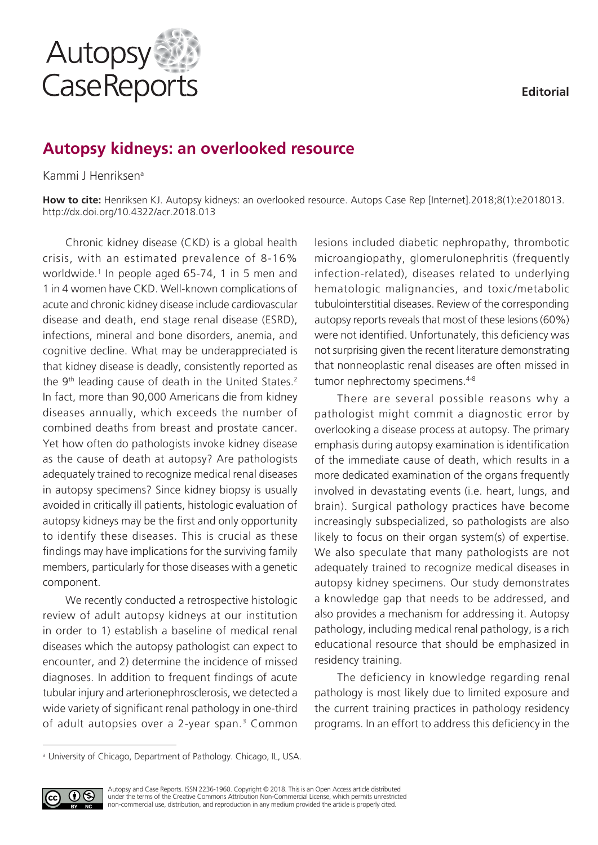

# **Autopsy kidneys: an overlooked resource**

## Kammi J Henriksena

**How to cite:** Henriksen KJ. Autopsy kidneys: an overlooked resource. Autops Case Rep [Internet].2018;8(1):e2018013. http://dx.doi.org/10.4322/acr.2018.013

Chronic kidney disease (CKD) is a global health crisis, with an estimated prevalence of 8-16% worldwide.<sup>1</sup> In people aged 65-74, 1 in 5 men and 1 in 4 women have CKD. Well-known complications of acute and chronic kidney disease include cardiovascular disease and death, end stage renal disease (ESRD), infections, mineral and bone disorders, anemia, and cognitive decline. What may be underappreciated is that kidney disease is deadly, consistently reported as the 9<sup>th</sup> leading cause of death in the United States.<sup>2</sup> In fact, more than 90,000 Americans die from kidney diseases annually, which exceeds the number of combined deaths from breast and prostate cancer. Yet how often do pathologists invoke kidney disease as the cause of death at autopsy? Are pathologists adequately trained to recognize medical renal diseases in autopsy specimens? Since kidney biopsy is usually avoided in critically ill patients, histologic evaluation of autopsy kidneys may be the first and only opportunity to identify these diseases. This is crucial as these findings may have implications for the surviving family members, particularly for those diseases with a genetic component.

We recently conducted a retrospective histologic review of adult autopsy kidneys at our institution in order to 1) establish a baseline of medical renal diseases which the autopsy pathologist can expect to encounter, and 2) determine the incidence of missed diagnoses. In addition to frequent findings of acute tubular injury and arterionephrosclerosis, we detected a wide variety of significant renal pathology in one-third of adult autopsies over a 2-year span.<sup>3</sup> Common lesions included diabetic nephropathy, thrombotic microangiopathy, glomerulonephritis (frequently infection-related), diseases related to underlying hematologic malignancies, and toxic/metabolic tubulointerstitial diseases. Review of the corresponding autopsy reports reveals that most of these lesions (60%) were not identified. Unfortunately, this deficiency was not surprising given the recent literature demonstrating that nonneoplastic renal diseases are often missed in tumor nephrectomy specimens.<sup>4-8</sup>

There are several possible reasons why a pathologist might commit a diagnostic error by overlooking a disease process at autopsy. The primary emphasis during autopsy examination is identification of the immediate cause of death, which results in a more dedicated examination of the organs frequently involved in devastating events (i.e. heart, lungs, and brain). Surgical pathology practices have become increasingly subspecialized, so pathologists are also likely to focus on their organ system(s) of expertise. We also speculate that many pathologists are not adequately trained to recognize medical diseases in autopsy kidney specimens. Our study demonstrates a knowledge gap that needs to be addressed, and also provides a mechanism for addressing it. Autopsy pathology, including medical renal pathology, is a rich educational resource that should be emphasized in residency training.

The deficiency in knowledge regarding renal pathology is most likely due to limited exposure and the current training practices in pathology residency programs. In an effort to address this deficiency in the

<sup>&</sup>lt;sup>a</sup> University of Chicago, Department of Pathology. Chicago, IL, USA.

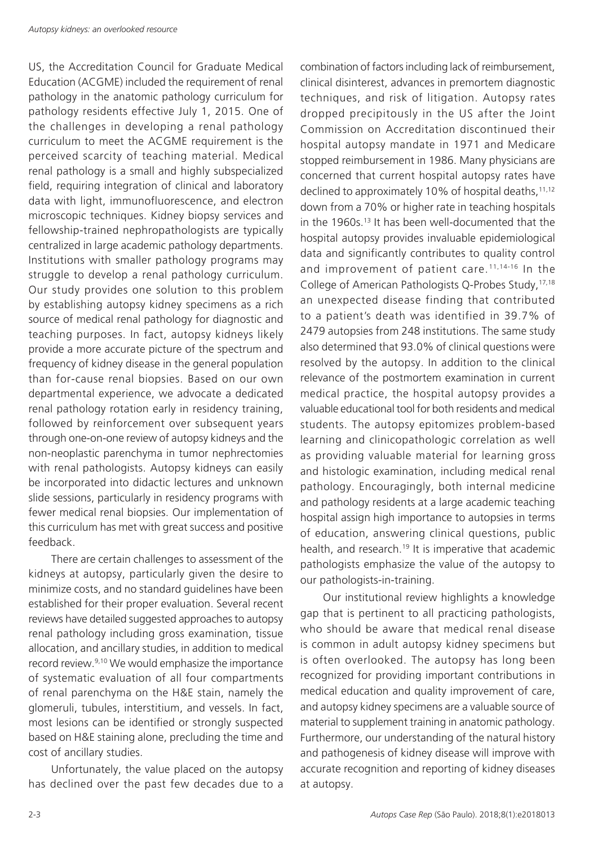US, the Accreditation Council for Graduate Medical Education (ACGME) included the requirement of renal pathology in the anatomic pathology curriculum for pathology residents effective July 1, 2015. One of the challenges in developing a renal pathology curriculum to meet the ACGME requirement is the perceived scarcity of teaching material. Medical renal pathology is a small and highly subspecialized field, requiring integration of clinical and laboratory data with light, immunofluorescence, and electron microscopic techniques. Kidney biopsy services and fellowship-trained nephropathologists are typically centralized in large academic pathology departments. Institutions with smaller pathology programs may struggle to develop a renal pathology curriculum. Our study provides one solution to this problem by establishing autopsy kidney specimens as a rich source of medical renal pathology for diagnostic and teaching purposes. In fact, autopsy kidneys likely provide a more accurate picture of the spectrum and frequency of kidney disease in the general population than for-cause renal biopsies. Based on our own departmental experience, we advocate a dedicated renal pathology rotation early in residency training, followed by reinforcement over subsequent years through one-on-one review of autopsy kidneys and the non-neoplastic parenchyma in tumor nephrectomies with renal pathologists. Autopsy kidneys can easily be incorporated into didactic lectures and unknown slide sessions, particularly in residency programs with fewer medical renal biopsies. Our implementation of this curriculum has met with great success and positive feedback.

There are certain challenges to assessment of the kidneys at autopsy, particularly given the desire to minimize costs, and no standard guidelines have been established for their proper evaluation. Several recent reviews have detailed suggested approaches to autopsy renal pathology including gross examination, tissue allocation, and ancillary studies, in addition to medical record review.9,10 We would emphasize the importance of systematic evaluation of all four compartments of renal parenchyma on the H&E stain, namely the glomeruli, tubules, interstitium, and vessels. In fact, most lesions can be identified or strongly suspected based on H&E staining alone, precluding the time and cost of ancillary studies.

Unfortunately, the value placed on the autopsy has declined over the past few decades due to a

combination of factors including lack of reimbursement, clinical disinterest, advances in premortem diagnostic techniques, and risk of litigation. Autopsy rates dropped precipitously in the US after the Joint Commission on Accreditation discontinued their hospital autopsy mandate in 1971 and Medicare stopped reimbursement in 1986. Many physicians are concerned that current hospital autopsy rates have declined to approximately 10% of hospital deaths, $11,12$ down from a 70% or higher rate in teaching hospitals in the 1960s.13 It has been well-documented that the hospital autopsy provides invaluable epidemiological data and significantly contributes to quality control and improvement of patient care.11,14-16 In the College of American Pathologists Q-Probes Study,17,18 an unexpected disease finding that contributed to a patient's death was identified in 39.7% of 2479 autopsies from 248 institutions. The same study also determined that 93.0% of clinical questions were resolved by the autopsy. In addition to the clinical relevance of the postmortem examination in current medical practice, the hospital autopsy provides a valuable educational tool for both residents and medical students. The autopsy epitomizes problem-based learning and clinicopathologic correlation as well as providing valuable material for learning gross and histologic examination, including medical renal pathology. Encouragingly, both internal medicine and pathology residents at a large academic teaching hospital assign high importance to autopsies in terms of education, answering clinical questions, public health, and research.<sup>19</sup> It is imperative that academic pathologists emphasize the value of the autopsy to our pathologists-in-training.

Our institutional review highlights a knowledge gap that is pertinent to all practicing pathologists, who should be aware that medical renal disease is common in adult autopsy kidney specimens but is often overlooked. The autopsy has long been recognized for providing important contributions in medical education and quality improvement of care, and autopsy kidney specimens are a valuable source of material to supplement training in anatomic pathology. Furthermore, our understanding of the natural history and pathogenesis of kidney disease will improve with accurate recognition and reporting of kidney diseases at autopsy.